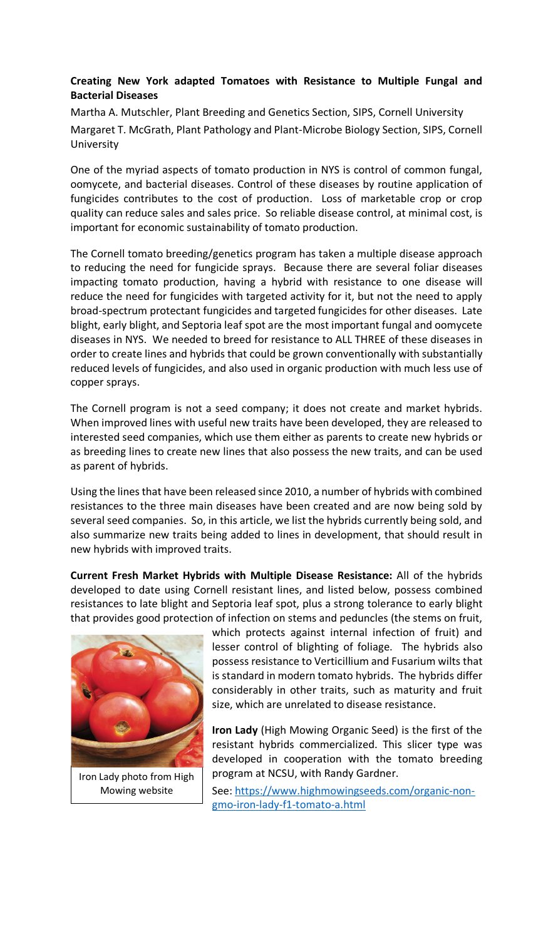## **Creating New York adapted Tomatoes with Resistance to Multiple Fungal and Bacterial Diseases**

Martha A. Mutschler, Plant Breeding and Genetics Section, SIPS, Cornell University Margaret T. McGrath, Plant Pathology and Plant-Microbe Biology Section, SIPS, Cornell University

One of the myriad aspects of tomato production in NYS is control of common fungal, oomycete, and bacterial diseases. Control of these diseases by routine application of fungicides contributes to the cost of production. Loss of marketable crop or crop quality can reduce sales and sales price. So reliable disease control, at minimal cost, is important for economic sustainability of tomato production.

The Cornell tomato breeding/genetics program has taken a multiple disease approach to reducing the need for fungicide sprays. Because there are several foliar diseases impacting tomato production, having a hybrid with resistance to one disease will reduce the need for fungicides with targeted activity for it, but not the need to apply broad-spectrum protectant fungicides and targeted fungicides for other diseases. Late blight, early blight, and Septoria leaf spot are the most important fungal and oomycete diseases in NYS. We needed to breed for resistance to ALL THREE of these diseases in order to create lines and hybrids that could be grown conventionally with substantially reduced levels of fungicides, and also used in organic production with much less use of copper sprays.

The Cornell program is not a seed company; it does not create and market hybrids. When improved lines with useful new traits have been developed, they are released to interested seed companies, which use them either as parents to create new hybrids or as breeding lines to create new lines that also possess the new traits, and can be used as parent of hybrids.

Using the lines that have been released since 2010, a number of hybrids with combined resistances to the three main diseases have been created and are now being sold by several seed companies. So, in this article, we list the hybrids currently being sold, and also summarize new traits being added to lines in development, that should result in new hybrids with improved traits.

**Current Fresh Market Hybrids with Multiple Disease Resistance:** All of the hybrids developed to date using Cornell resistant lines, and listed below, possess combined resistances to late blight and Septoria leaf spot, plus a strong tolerance to early blight that provides good protection of infection on stems and peduncles (the stems on fruit,



Iron Lady photo from High Mowing website

which protects against internal infection of fruit) and lesser control of blighting of foliage. The hybrids also possess resistance to Verticillium and Fusarium wilts that is standard in modern tomato hybrids. The hybrids differ considerably in other traits, such as maturity and fruit size, which are unrelated to disease resistance.

**Iron Lady** (High Mowing Organic Seed) is the first of the resistant hybrids commercialized. This slicer type was developed in cooperation with the tomato breeding program at NCSU, with Randy Gardner.

See: https://www.highmowingseeds.com/organic-nongmo-iron-lady-f1-tomato-a.html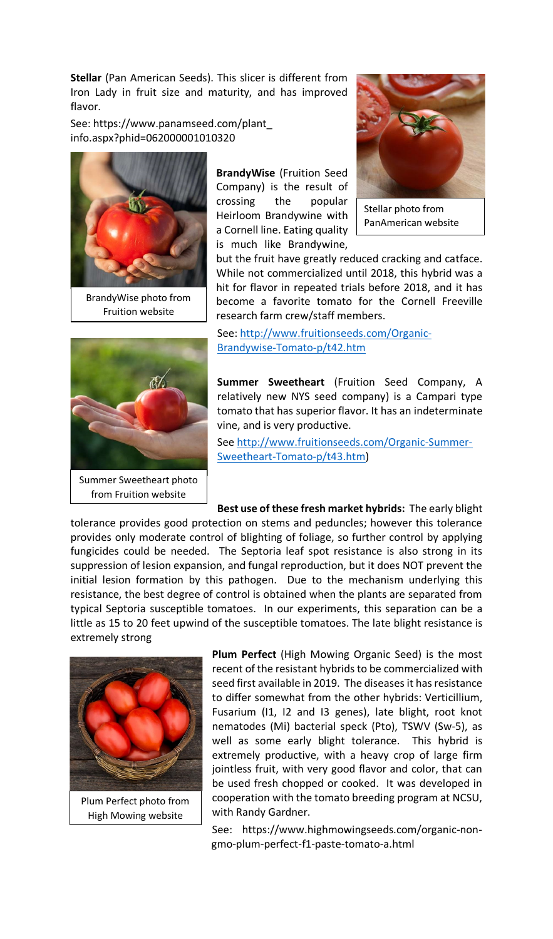**Stellar** (Pan American Seeds). This slicer is different from Iron Lady in fruit size and maturity, and has improved flavor.

See: https://www.panamseed.com/plant\_ info.aspx?phid=062000001010320



BrandyWise photo from Fruition website

**BrandyWise** (Fruition Seed Company) is the result of crossing the popular Heirloom Brandywine with a Cornell line. Eating quality is much like Brandywine,



Stellar photo from PanAmerican website

but the fruit have greatly reduced cracking and catface. While not commercialized until 2018, this hybrid was a hit for flavor in repeated trials before 2018, and it has become a favorite tomato for the Cornell Freeville research farm crew/staff members.

See: http://www.fruitionseeds.com/Organic-Brandywise-Tomato-p/t42.htm

**Summer Sweetheart** (Fruition Seed Company, A relatively new NYS seed company) is a Campari type tomato that has superior flavor. It has an indeterminate vine, and is very productive.

See http://www.fruitionseeds.com/Organic-Summer-Sweetheart-Tomato-p/t43.htm)

**Best use of these fresh market hybrids:** The early blight tolerance provides good protection on stems and peduncles; however this tolerance provides only moderate control of blighting of foliage, so further control by applying fungicides could be needed. The Septoria leaf spot resistance is also strong in its suppression of lesion expansion, and fungal reproduction, but it does NOT prevent the initial lesion formation by this pathogen. Due to the mechanism underlying this resistance, the best degree of control is obtained when the plants are separated from typical Septoria susceptible tomatoes. In our experiments, this separation can be a little as 15 to 20 feet upwind of the susceptible tomatoes. The late blight resistance is extremely strong



Plum Perfect photo from High Mowing website

**Plum Perfect** (High Mowing Organic Seed) is the most recent of the resistant hybrids to be commercialized with seed first available in 2019. The diseases it has resistance to differ somewhat from the other hybrids: Verticillium, Fusarium (I1, I2 and I3 genes), late blight, root knot nematodes (Mi) bacterial speck (Pto), TSWV (Sw-5), as well as some early blight tolerance. This hybrid is extremely productive, with a heavy crop of large firm jointless fruit, with very good flavor and color, that can be used fresh chopped or cooked. It was developed in cooperation with the tomato breeding program at NCSU, with Randy Gardner.

See: https://www.highmowingseeds.com/organic-nongmo-plum-perfect-f1-paste-tomato-a.html